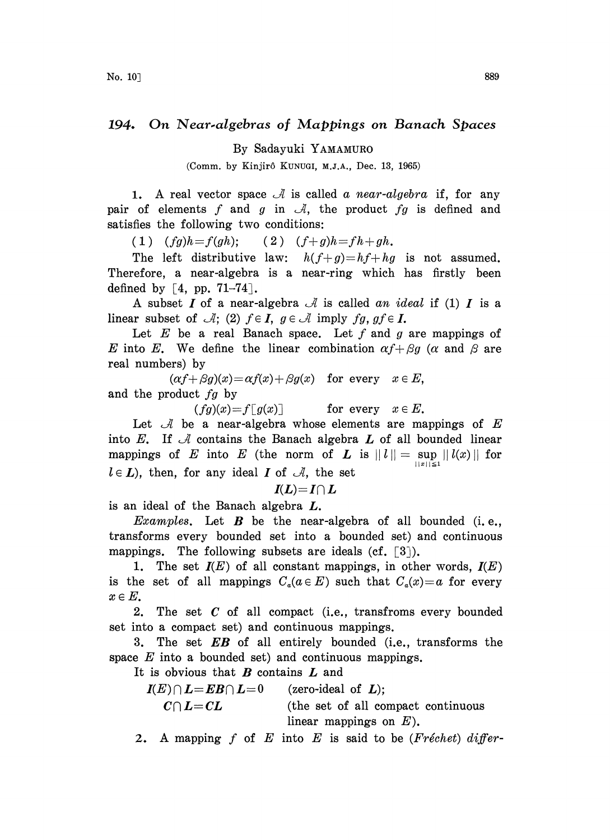## 194. On Near.algebras of Mappings on Banach Spaces

By Sadayuki YAMAMURO

(Comm. by Kinjirô KUNUGI, M.J.A., Dec. 13, 1965)

1. A real vector space  $\mathcal A$  is called a near-algebra if, for any pair of elements f and g in  $\mathcal{A}$ , the product fg is defined and satisfies the following two conditions:

(1)  $(fg)h=f(gh);$  (2)  $(f+g)h=fh+gh.$ 

The left distributive law:  $h(f+g)=hf+hg$  is not assumed. Therefore, a near-algebra is a near-ring which has firstly been defined by  $\lceil 4, pp. 71-74 \rceil$ .

A subset  $I$  of a near-algebra  $\mathcal A$  is called an ideal if (1)  $I$  is a linear subset of  $\mathcal{A}$ ; (2)  $f \in I$ ,  $g \in \mathcal{A}$  imply  $fg, gf \in I$ .

Let  $E$  be a real Banach space. Let  $f$  and  $g$  are mappings of E into E. We define the linear combination  $\alpha f + \beta g$  ( $\alpha$  and  $\beta$  are real numbers) by

 $(\alpha f + \beta g)(x) = \alpha f(x) + \beta g(x)$  for every  $x \in E$ , and the product fg by

 $(fg)(x)=f[g(x)]$  for every  $x \in E$ .

Let  $\mathcal A$  be a near-algebra whose elements are mappings of E into E. If  $\mathcal A$  contains the Banach algebra  $L$  of all bounded linear mappings of E into E (the norm of L is  $||l|| = \sup_{||x|| \leq 1} ||l(x)||$  for  $l \in L$ ), then, for any ideal I of  $\mathcal{A}$ , the set

$$
I(L)=I\cap L
$$

is an ideal of the Banach algebra  $L$ .

*Examples.* Let  $B$  be the near-algebra of all bounded (i.e., transforms every bounded set into a bounded set) and continuous mappings. The following subsets are ideals (cf.  $\lceil 3 \rceil$ ).

1. The set  $I(E)$  of all constant mappings, in other words,  $I(E)$ is the set of all mappings  $C_a(a \in E)$  such that  $C_a(x)=a$  for every  $x \in E$ .

2. The set  $C$  of all compact (i.e., transfroms every bounded set into a compact set) and continuous mappings.

3. The set  $EB$  of all entirely bounded (i.e., transforms the space  $E$  into a bounded set) and continuous mappings.

It is obvious that  $B$  contains  $L$  and

 $I(E) \cap L = EB \cap L=0$  (zero-ideal of L);

 $C \cap L = CL$  (the set of all compact continuous) linear mappings on  $E$ ).

2. A mapping f of E into E is said to be (Fréchet) differ-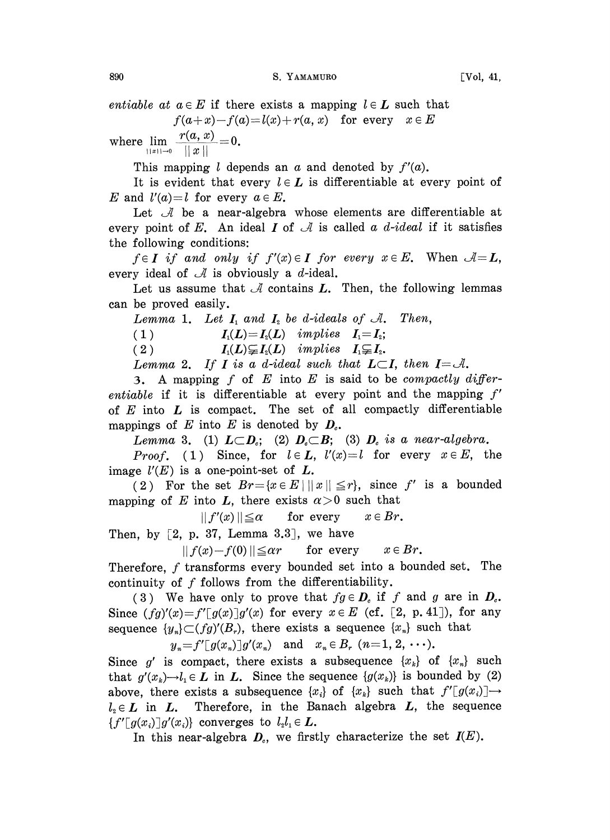890 S. YAMAMURO [Vol, 41,

entiable at  $a \in E$  if there exists a mapping  $l \in L$  such that  $f(a+x)-f(a)=l(x)+r(a, x)$  for every  $x \in E$ 

where  $\lim_{||x|| \to 0} \frac{r(a, x)}{||x||} = 0.$ 

This mapping l depends an  $\alpha$  and denoted by  $f'(a)$ .

It is evident that every  $l \in L$  is differentiable at every point of E and  $l'(a)=l$  for every  $a \in E$ .

Let  $\mathcal A$  be a near-algebra whose elements are differentiable at every point of E. An ideal I of  $\mathcal A$  is called a d-ideal if it satisfies the following conditions:

 $f \in I$  if and only if  $f'(x) \in I$  for every  $x \in E$ . When  $\mathcal{A} = L$ , every ideal of  $\mathcal A$  is obviously a d-ideal.

Let us assume that  $\mathcal A$  contains  $L$ . Then, the following lemmas can be proved easily.

Lemma 1. Let  $I_1$  and  $I_2$  be d-ideals of  $A$ . Then,

(1)  $I_1(L)=I_2(L)$  implies  $I_1=I_2;$ 

(2)  $I_1(L) \subsetneq I_2(L)$  implies  $I_1 \subsetneq I_2$ .

Lemma 2. If I is a d-ideal such that  $L\subset I$ , then  $I=\mathcal{A}$ .

3. A mapping f of  $E$  into  $E$  is said to be compactly differentiable if it is differentiable at every point and the mapping  $f'$ of  $E$  into  $L$  is compact. The set of all compactly differentiable mappings of E into E is denoted by  $D<sub>c</sub>$ .

Lemma 3. (1)  $L\subset D_c$ ; (2)  $D_c\subset B$ ; (3)  $D_c$  is a near-algebra.

*Proof.* (1) Since, for  $l \in L$ ,  $l'(x)=l$  for every  $x \in E$ , the image  $l(E)$  is a one-point-set of  $L$ .

(2) For the set  $Br = \{x \in E \mid ||x|| \leq r\}$ , since f' is a bounded mapping of E into L, there exists  $\alpha > 0$  such that

 $||f'(x)|| \leq \alpha$  for every  $x \in Br$ .

Then, by  $[2, p. 37, Lemma 3.3],$  we have

 $|| f(x)-f(0)|| \leq \alpha r$  for every  $x \in Br$ .

Therefore,  $f$  transforms every bounded set into a bounded set. The continuity of  $f$  follows from the differentiability.

(3) We have only to prove that  $fg \in D<sub>c</sub>$  if f and g are in  $D<sub>c</sub>$ . Since  $(fg)'(x) = f'[g(x)]g'(x)$  for every  $x \in E$  (cf. [2, p. 41]), for any sequence  $\{y_n\} \subset (fg)'(B_r)$ , there exists a sequence  $\{x_n\}$  such that

 $y_n = f'[g(x_n)]g'(x_n)$  and  $x_n \in B_r$   $(n=1, 2, \dots).$ 

Since g' is compact, there exists a subsequence  $\{x_k\}$  of  $\{x_n\}$  such that  $g'(x_k) \rightarrow l_1 \in L$  in L. Since the sequence  $\{g(x_k)\}\$ is bounded by (2) above, there exists a subsequence  $\{x_i\}$  of  $\{x_k\}$  such that  $f'[g(x_i)] \rightarrow$  $l_i \in L$  in  $L$ . Therefore, in the Banach algebra  $L$ , the sequence  ${f'}[g(x_i)]g'(x_i)$  converges to  $l_2l_1 \in L$ .

In this near-algebra  $D<sub>e</sub>$ , we firstly characterize the set  $I(E)$ .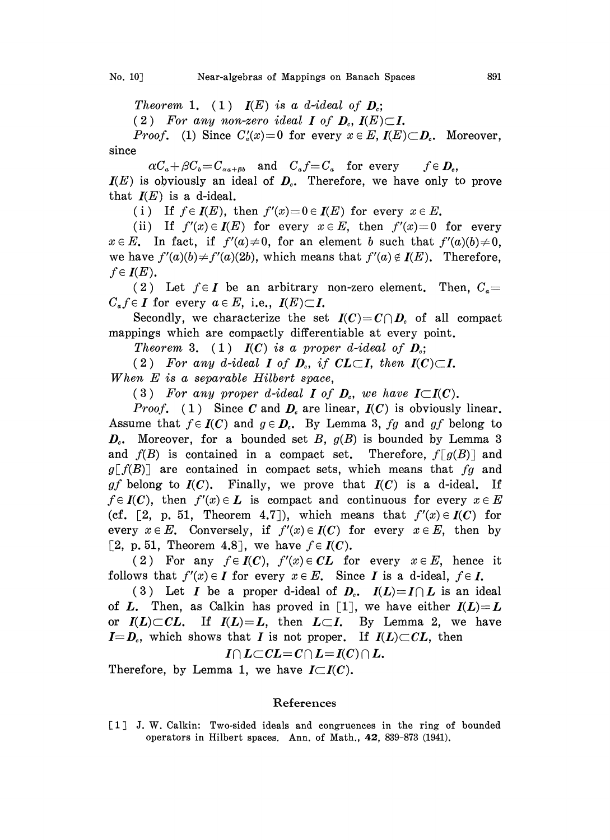Theorem 1. (1)  $I(E)$  is a d-ideal of  $D_i$ ;

(2) For any non-zero ideal I of  $D_c$ ,  $I(E) \subset I$ .

*Proof.* (1) Since  $C'_a(x)=0$  for every  $x \in E$ ,  $I(E) \subset D_c$ . Moreover, since

 $\alpha C_a + \beta C_b = C_{\alpha a + \beta b}$  and  $C_a f = C_a$  for every  $+ \beta C_b = C_{\alpha a+\beta b}$  and  $C_a f = C_a$  for every  $f \in D_c$ ,<br>viously an ideal of  $D_c$ . Therefore, we have only t<br>is a d-ideal.  $I\!\!I(E)$  is obviously an ideal of  $D_c$ . Therefore, we have only to prove that  $I(E)$  is a d-ideal.

(i) If  $f \in I(E)$ , then  $f'(x)=0 \in I(E)$  for every  $x \in E$ .

(ii) If  $f'(x) \in I(E)$  for every  $x \in E$ , then  $f'(x)=0$  for every  $x \in E$ . In fact, if  $f'(a) \neq 0$ , for an element b such that  $f'(a)(b) \neq 0$ , we have  $f'(a)(b) \neq f'(a)(2b)$ , which means that  $f'(a) \notin I(E)$ . Therefore,  $f \in I(E)$ .

(2) Let  $f \in I$  be an arbitrary non-zero element. Then,  $C_{\alpha} =$  $C_a f \in I$  for every  $a \in E$ , i.e.,  $I(E) \subset I$ .

Secondly, we characterize the set  $I(C) = C \cap D<sub>c</sub>$  of all compact mappings which are compactly differentiable at every point.

Theorem 3. (1)  $I(C)$  is a proper d-ideal of  $D_c$ ;

(2) For any d-ideal I of  $D_c$ , if  $CL \subset I$ , then  $I(C) \subset I$ . When E is <sup>a</sup> separable Hilbert space,

(3) For any proper d-ideal I of  $D_c$ , we have  $I\subset I(C)$ .

*Proof.* (1) Since C and  $D_e$  are linear,  $I(C)$  is obviously linear. Assume that  $f \in I(C)$  and  $g \in D<sub>c</sub>$ . By Lemma 3, fg and gf belong to  $D<sub>c</sub>$ . Moreover, for a bounded set B,  $g(B)$  is bounded by Lemma 3 and  $f(B)$  is contained in a compact set. Therefore,  $f[g(B)]$  and  $g[f(B)]$  are contained in compact sets, which means that fg and gf belong to  $I(C)$ . Finally, we prove that  $I(C)$  is a d-ideal. If  $f \in I(C)$ , then  $f'(x) \in L$  is compact and continuous for every  $x \in E$ (cf. [2, p. 51, Theorem 4.7]), which means that  $f'(x) \in I(C)$  for every  $x \in E$ . Conversely, if  $f'(x) \in I(C)$  for every  $x \in E$ , then by [2, p. 51, Theorem 4.8], we have  $f \in I(C)$ .

(2) For any  $f \in I(C)$ ,  $f'(x) \in CL$  for every  $x \in E$ , hence it follows that  $f'(x) \in I$  for every  $x \in E$ . Since I is a d-ideal,  $f \in I$ .

(3) Let I be a proper d-ideal of  $D_c$ .  $I(L)=I\cap L$  is an ideal of L. Then, as Calkin has proved in [1], we have either  $I(L)=L$ or  $I(L)\subset CL$ . If  $I(L)=L$ , then  $L\subset I$ . By Lemma 2, we have  $I=D<sub>c</sub>$ , which shows that I is not proper. If  $I(L)\subset CL$ , then  $I \cap L \subset CL = C \cap L = I(C) \cap L$ .

Therefore, by Lemma 1, we have  $I\subset I(C)$ .

## References

[1] J. W. Calkin: Two-sided ideals and congruences in the ring of bounded operators in Hilbert spaces. Ann. of Math., 42, 839-873 (1941).